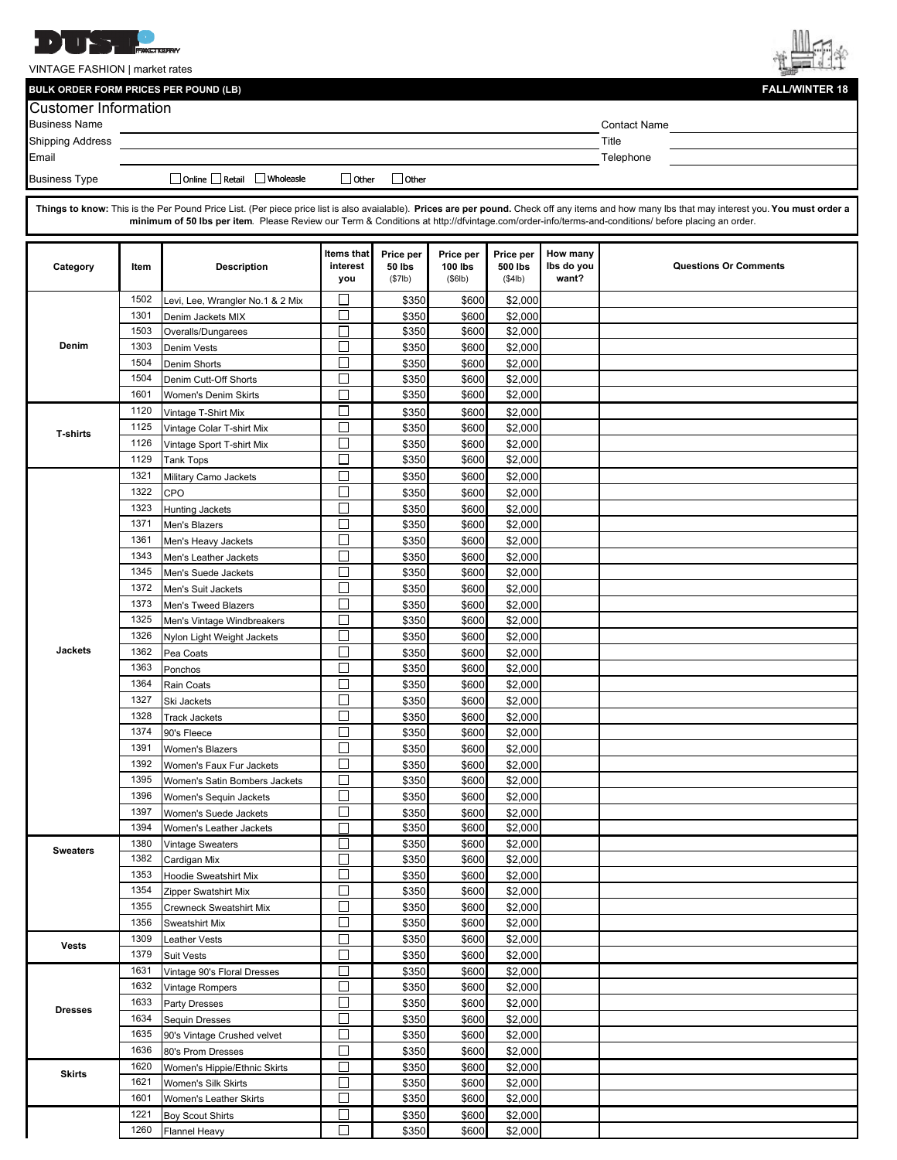

VINTAGE FASHION | market rates

**BULK ORDER FORM PRICES PER POUND (LB)** 



| <b>Customer Information</b> |              |                                                       |               |                            |                             |                      |            |                                                                                                                                                                                                 |
|-----------------------------|--------------|-------------------------------------------------------|---------------|----------------------------|-----------------------------|----------------------|------------|-------------------------------------------------------------------------------------------------------------------------------------------------------------------------------------------------|
| <b>Business Name</b>        |              |                                                       |               |                            |                             |                      |            | <b>Contact Name</b>                                                                                                                                                                             |
| Shipping Address            |              |                                                       |               |                            |                             |                      |            | Title                                                                                                                                                                                           |
| Email                       |              |                                                       |               |                            |                             |                      |            | Telephone                                                                                                                                                                                       |
| <b>Business Type</b>        |              | □ Online □ Retail □ Wholeasle                         | $\Box$ Other  | □ Other                    |                             |                      |            |                                                                                                                                                                                                 |
|                             |              |                                                       |               |                            |                             |                      |            |                                                                                                                                                                                                 |
|                             |              |                                                       |               |                            |                             |                      |            | Things to know: This is the Per Pound Price List. (Per piece price list is also avaialable). Prices are per pound. Check off any items and how many lbs that may interest you. You must order a |
|                             |              |                                                       |               |                            |                             |                      |            | minimum of 50 lbs per item. Please Review our Term & Conditions at http://dfvintage.com/order-info/terms-and-conditions/ before placing an order.                                               |
|                             |              |                                                       | Items that    |                            |                             |                      | How many   |                                                                                                                                                                                                 |
| Category                    | ltem         | <b>Description</b>                                    | interest      | Price per<br><b>50 lbs</b> | Price per<br><b>100 lbs</b> | Price per<br>500 lbs | Ibs do you | <b>Questions Or Comments</b>                                                                                                                                                                    |
|                             |              |                                                       | you           | (\$7lb)                    | (\$6lb)                     | (\$4lb)              | want?      |                                                                                                                                                                                                 |
|                             | 1502         | Levi, Lee, Wrangler No.1 & 2 Mix                      | $\Box$        | \$350                      | \$600                       | \$2,000              |            |                                                                                                                                                                                                 |
|                             | 1301         | Denim Jackets MIX                                     | $\Box$        | \$350                      | \$600                       | \$2,000              |            |                                                                                                                                                                                                 |
| Denim                       | 1503         | Overalls/Dungarees                                    | П             | \$350                      | \$600                       | \$2,000              |            |                                                                                                                                                                                                 |
|                             | 1303         | Denim Vests                                           | П             | \$350                      | \$600                       | \$2,000              |            |                                                                                                                                                                                                 |
|                             | 1504         | <b>Denim Shorts</b>                                   | П             | \$350                      | \$600                       | \$2,000              |            |                                                                                                                                                                                                 |
|                             | 1504         | Denim Cutt-Off Shorts                                 | П             | \$350                      | \$600                       | \$2,000              |            |                                                                                                                                                                                                 |
|                             | 1601         | Women's Denim Skirts                                  | П             | \$350                      | \$600                       | \$2,000              |            |                                                                                                                                                                                                 |
|                             | 1120         | Vintage T-Shirt Mix                                   | П             | \$350                      | \$600                       | \$2,000              |            |                                                                                                                                                                                                 |
| <b>T-shirts</b>             | 1125         | Vintage Colar T-shirt Mix                             | П             | \$350                      | \$600                       | \$2,000              |            |                                                                                                                                                                                                 |
|                             | 1126         | Vintage Sport T-shirt Mix                             | П             | \$350                      | \$600                       | \$2,000              |            |                                                                                                                                                                                                 |
|                             | 1129         | <b>Tank Tops</b>                                      | $\Box$        | \$350                      | \$600                       | \$2,000              |            |                                                                                                                                                                                                 |
|                             | 1321         | Military Camo Jackets                                 | $\Box$        | \$350                      | \$600                       | \$2,000              |            |                                                                                                                                                                                                 |
|                             | 1322         | CPO                                                   | $\Box$        | \$350                      | \$600                       | \$2,000              |            |                                                                                                                                                                                                 |
|                             | 1323         | <b>Hunting Jackets</b>                                | $\Box$        | \$350                      | \$600                       | \$2,000              |            |                                                                                                                                                                                                 |
|                             | 1371         | Men's Blazers                                         | П             | \$350                      | \$600                       | \$2,000              |            |                                                                                                                                                                                                 |
|                             | 1361<br>1343 | Men's Heavy Jackets                                   | П<br>$\Box$   | \$350                      | \$600                       | \$2,000              |            |                                                                                                                                                                                                 |
|                             | 1345         | Men's Leather Jackets                                 | $\Box$        | \$350                      | \$600                       | \$2,000              |            |                                                                                                                                                                                                 |
|                             | 1372         | Men's Suede Jackets                                   | $\Box$        | \$350<br>\$350             | \$600<br>\$600              | \$2,000              |            |                                                                                                                                                                                                 |
|                             | 1373         | Men's Suit Jackets<br><b>Men's Tweed Blazers</b>      | П             | \$350                      | \$600                       | \$2,000<br>\$2,000   |            |                                                                                                                                                                                                 |
|                             | 1325         | Men's Vintage Windbreakers                            | $\Box$        | \$350                      | \$600                       | \$2,000              |            |                                                                                                                                                                                                 |
|                             | 1326         | Nylon Light Weight Jackets                            | $\Box$        | \$350                      | \$600                       | \$2,000              |            |                                                                                                                                                                                                 |
| Jackets                     | 1362         | Pea Coats                                             | $\Box$        | \$350                      | \$600                       | \$2,000              |            |                                                                                                                                                                                                 |
|                             | 1363         | Ponchos                                               | П             | \$350                      | \$600                       | \$2,000              |            |                                                                                                                                                                                                 |
|                             | 1364         | Rain Coats                                            | $\Box$        | \$350                      | \$600                       | \$2,000              |            |                                                                                                                                                                                                 |
|                             | 1327         | Ski Jackets                                           | $\Box$        | \$350                      | \$600                       | \$2,000              |            |                                                                                                                                                                                                 |
|                             | 1328         | <b>Track Jackets</b>                                  | П             | \$350                      | \$600                       | \$2,000              |            |                                                                                                                                                                                                 |
|                             | 1374         | 90's Fleece                                           | П             | \$350                      | \$600                       | \$2,000              |            |                                                                                                                                                                                                 |
|                             | 1391         | Women's Blazers                                       | П<br>–        | \$350                      | \$600                       | \$2,000              |            |                                                                                                                                                                                                 |
|                             | 1392         | Women's Faux Fur Jackets                              | $\Box$        | \$350                      | \$600                       | \$2,000              |            |                                                                                                                                                                                                 |
|                             | 1395         | Women's Satin Bombers Jackets                         | $\Box$        | \$350                      | \$600                       | \$2,000              |            |                                                                                                                                                                                                 |
|                             | 1396         | Women's Sequin Jackets                                | $\Box$        | \$350                      | \$600                       | \$2,000              |            |                                                                                                                                                                                                 |
|                             | 1397         | Women's Suede Jackets                                 | $\Box$        | \$350                      | \$600                       | \$2,000              |            |                                                                                                                                                                                                 |
|                             | 1394         | Women's Leather Jackets                               | $\Box$        | \$350                      | \$600                       | \$2,000              |            |                                                                                                                                                                                                 |
| <b>Sweaters</b>             | 1380         | Vintage Sweaters                                      | $\mathcal{L}$ | \$350                      | \$600                       | \$2,000              |            |                                                                                                                                                                                                 |
|                             | 1382         | Cardigan Mix                                          | П             | \$350                      | \$600                       | \$2,000              |            |                                                                                                                                                                                                 |
|                             | 1353         | Hoodie Sweatshirt Mix                                 | $\Box$        | \$350                      | \$600                       | \$2,000              |            |                                                                                                                                                                                                 |
|                             | 1354         | Zipper Swatshirt Mix                                  | $\Box$        | \$350                      | \$600                       | \$2,000              |            |                                                                                                                                                                                                 |
|                             | 1355         | <b>Crewneck Sweatshirt Mix</b>                        | $\Box$<br>П   | \$350                      | \$600                       | \$2,000              |            |                                                                                                                                                                                                 |
|                             | 1356<br>1309 | <b>Sweatshirt Mix</b>                                 | $\Box$        | \$350<br>\$350             | \$600                       | \$2,000              |            |                                                                                                                                                                                                 |
| Vests                       | 1379         | <b>Leather Vests</b><br><b>Suit Vests</b>             | $\Box$        | \$350                      | \$600<br>\$600              | \$2,000<br>\$2,000   |            |                                                                                                                                                                                                 |
|                             | 1631         |                                                       | П             | \$350                      | \$600                       | \$2,000              |            |                                                                                                                                                                                                 |
| <b>Dresses</b>              | 1632         | Vintage 90's Floral Dresses<br><b>Vintage Rompers</b> | П             | \$350                      | \$600                       | \$2,000              |            |                                                                                                                                                                                                 |
|                             | 1633         | <b>Party Dresses</b>                                  | $\Box$        | \$350                      | \$600                       | \$2,000              |            |                                                                                                                                                                                                 |
|                             | 1634         | <b>Sequin Dresses</b>                                 | $\Box$        | \$350                      | \$600                       | \$2,000              |            |                                                                                                                                                                                                 |
|                             | 1635         | 90's Vintage Crushed velvet                           | $\Box$        | \$350                      | \$600                       | \$2,000              |            |                                                                                                                                                                                                 |
|                             | 1636         | 80's Prom Dresses                                     | $\Box$        | \$350                      | \$600                       | \$2,000              |            |                                                                                                                                                                                                 |
|                             | 1620         | Women's Hippie/Ethnic Skirts                          | $\Box$        | \$350                      | \$600                       | \$2,000              |            |                                                                                                                                                                                                 |
| <b>Skirts</b>               | 1621         | Women's Silk Skirts                                   | $\Box$        | \$350                      | \$600                       | \$2,000              |            |                                                                                                                                                                                                 |
|                             | 1601         | Women's Leather Skirts                                | $\Box$        | \$350                      | \$600                       | \$2,000              |            |                                                                                                                                                                                                 |
|                             | 1221         | <b>Boy Scout Shirts</b>                               | $\Box$        | \$350                      | \$600                       | \$2,000              |            |                                                                                                                                                                                                 |
|                             | 1260         | <b>Flannel Heavy</b>                                  | П             | \$350                      | \$600                       | \$2,000              |            |                                                                                                                                                                                                 |